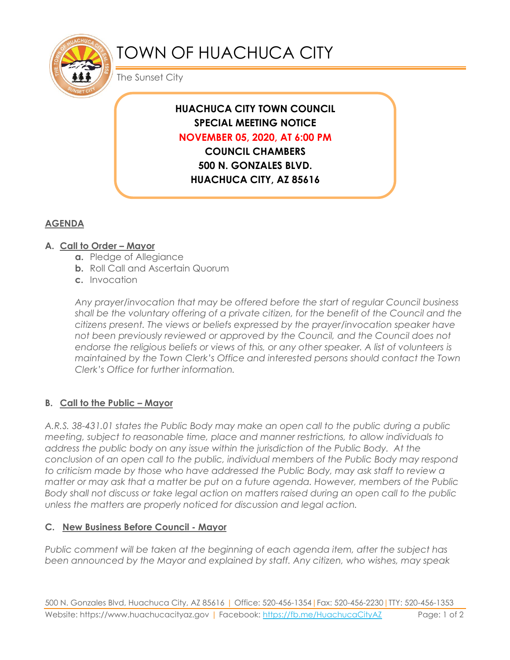

# TOWN OF HUACHUCA CITY

The Sunset City

# **HUACHUCA CITY TOWN COUNCIL SPECIAL MEETING NOTICE NOVEMBER 05, 2020, AT 6:00 PM COUNCIL CHAMBERS**

**500 N. GONZALES BLVD. HUACHUCA CITY, AZ 85616**

## **AGENDA**

### **A. Call to Order – Mayor**

- **a.** Pledge of Allegiance
- **b.** Roll Call and Ascertain Quorum
- **c.** Invocation

*Any prayer/invocation that may be offered before the start of regular Council business shall be the voluntary offering of a private citizen, for the benefit of the Council and the citizens present. The views or beliefs expressed by the prayer/invocation speaker have not been previously reviewed or approved by the Council, and the Council does not endorse the religious beliefs or views of this, or any other speaker. A list of volunteers is maintained by the Town Clerk's Office and interested persons should contact the Town Clerk's Office for further information.*

## **B. Call to the Public – Mayor**

*A.R.S. 38-431.01 states the Public Body may make an open call to the public during a public meeting, subject to reasonable time, place and manner restrictions, to allow individuals to address the public body on any issue within the jurisdiction of the Public Body. At the conclusion of an open call to the public, individual members of the Public Body may respond to criticism made by those who have addressed the Public Body, may ask staff to review a matter or may ask that a matter be put on a future agenda. However, members of the Public Body shall not discuss or take legal action on matters raised during an open call to the public unless the matters are properly noticed for discussion and legal action.*

#### **C. New Business Before Council - Mayor**

*Public comment will be taken at the beginning of each agenda item, after the subject has been announced by the Mayor and explained by staff. Any citizen, who wishes, may speak*